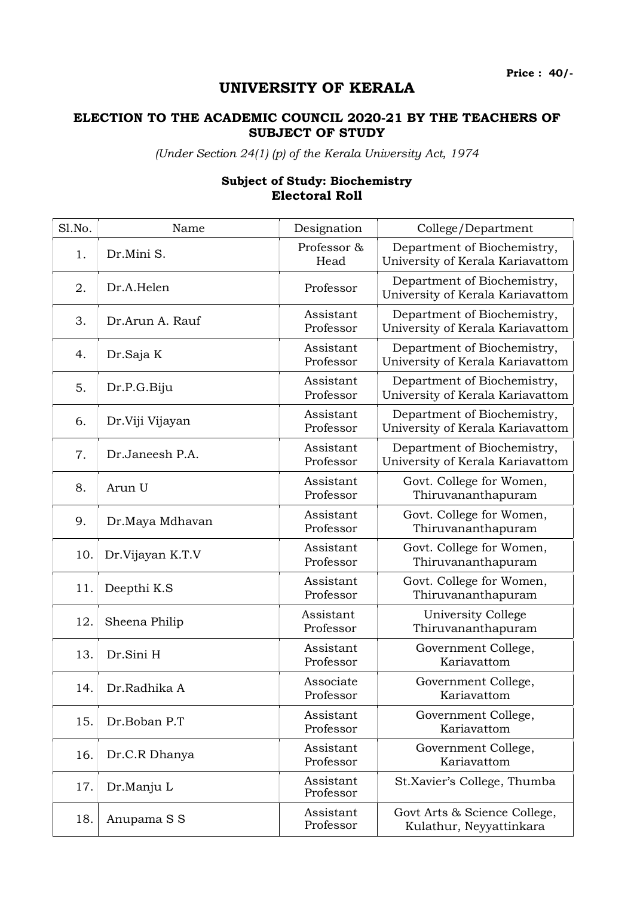## UNIVERSITY OF KERALA

## ELECTION TO THE ACADEMIC COUNCIL 2020-21 BY THE TEACHERS OF SUBJECT OF STUDY

(Under Section 24(1) (p) of the Kerala University Act, 1974

## Subject of Study: Biochemistry Electoral Roll

| Sl.No. | Name             | Designation            | College/Department                                              |
|--------|------------------|------------------------|-----------------------------------------------------------------|
| 1.     | Dr.Mini S.       | Professor &<br>Head    | Department of Biochemistry,<br>University of Kerala Kariavattom |
| 2.     | Dr.A.Helen       | Professor              | Department of Biochemistry,<br>University of Kerala Kariavattom |
| 3.     | Dr.Arun A. Rauf  | Assistant<br>Professor | Department of Biochemistry,<br>University of Kerala Kariavattom |
| 4.     | Dr.Saja K        | Assistant<br>Professor | Department of Biochemistry,<br>University of Kerala Kariavattom |
| 5.     | Dr.P.G.Biju      | Assistant<br>Professor | Department of Biochemistry,<br>University of Kerala Kariavattom |
| 6.     | Dr.Viji Vijayan  | Assistant<br>Professor | Department of Biochemistry,<br>University of Kerala Kariavattom |
| 7.     | Dr.Janeesh P.A.  | Assistant<br>Professor | Department of Biochemistry,<br>University of Kerala Kariavattom |
| 8.     | Arun U           | Assistant<br>Professor | Govt. College for Women,<br>Thiruvananthapuram                  |
| 9.     | Dr.Maya Mdhavan  | Assistant<br>Professor | Govt. College for Women,<br>Thiruvananthapuram                  |
| 10.    | Dr.Vijayan K.T.V | Assistant<br>Professor | Govt. College for Women,<br>Thiruvananthapuram                  |
| 11.    | Deepthi K.S      | Assistant<br>Professor | Govt. College for Women,<br>Thiruvananthapuram                  |
| 12.    | Sheena Philip    | Assistant<br>Professor | University College<br>Thiruvananthapuram                        |
| 13.    | Dr.Sini H        | Assistant<br>Professor | Government College,<br>Kariavattom                              |
| 14.    | Dr.Radhika A     | Associate<br>Professor | Government College,<br>Kariavattom                              |
| 15.    | Dr.Boban P.T     | Assistant<br>Professor | Government College,<br>Kariavattom                              |
| 16.    | Dr.C.R Dhanya    | Assistant<br>Professor | Government College,<br>Kariavattom                              |
| 17.    | Dr.Manju L       | Assistant<br>Professor | St.Xavier's College, Thumba                                     |
| 18.    | Anupama S S      | Assistant<br>Professor | Govt Arts & Science College,<br>Kulathur, Neyyattinkara         |